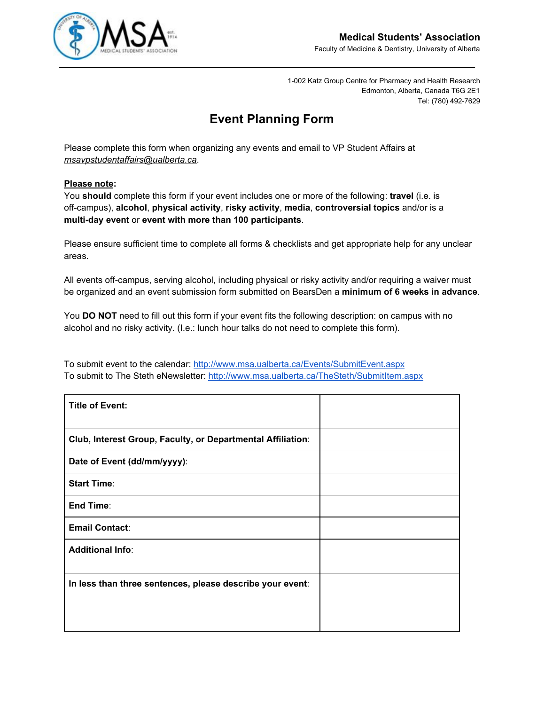

1-002 Katz Group Centre for Pharmacy and Health Research Edmonton, Alberta, Canada T6G 2E1 Tel: (780) 492-7629

# **Event Planning Form**

Please complete this form when organizing any events and email to VP Student Affairs at *msavpstudentaffairs@ualberta.ca*.

### **Please note:**

You **should** complete this form if your event includes one or more of the following: **travel** (i.e. is off-campus), **alcohol**, **physical activity**, **risky activity**, **media**, **controversial topics** and/or is a **multi-day event** or **event with more than 100 participants**.

Please ensure sufficient time to complete all forms & checklists and get appropriate help for any unclear areas.

All events off-campus, serving alcohol, including physical or risky activity and/or requiring a waiver must be organized and an event submission form submitted on BearsDen a **minimum of 6 weeks in advance**.

You **DO NOT** need to fill out this form if your event fits the following description: on campus with no alcohol and no risky activity. (I.e.: lunch hour talks do not need to complete this form).

To submit event to the calendar[:](http://www.msa.ualberta.ca/Events/SubmitEvent.aspx) <http://www.msa.ualberta.ca/Events/SubmitEvent.aspx> To submit to The Steth eNewsletter: <http://www.msa.ualberta.ca/TheSteth/SubmitItem.aspx>

| <b>Title of Event:</b>                                      |  |
|-------------------------------------------------------------|--|
| Club, Interest Group, Faculty, or Departmental Affiliation: |  |
| Date of Event (dd/mm/yyyy):                                 |  |
| <b>Start Time:</b>                                          |  |
| End Time:                                                   |  |
| <b>Email Contact:</b>                                       |  |
| <b>Additional Info:</b>                                     |  |
| In less than three sentences, please describe your event:   |  |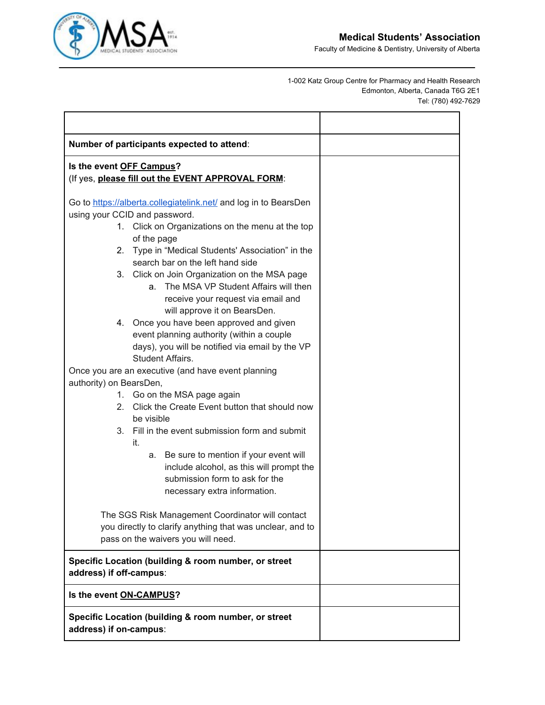

Faculty of Medicine & Dentistry, University of Alberta

1-002 Katz Group Centre for Pharmacy and Health Research Edmonton, Alberta, Canada T6G 2E1 Tel: (780) 492-7629

| Number of participants expected to attend:                                            |  |
|---------------------------------------------------------------------------------------|--|
| Is the event OFF Campus?<br>(If yes, please fill out the EVENT APPROVAL FORM:         |  |
| Go to https://alberta.collegiatelink.net/ and log in to BearsDen                      |  |
| using your CCID and password.                                                         |  |
| 1. Click on Organizations on the menu at the top                                      |  |
| of the page                                                                           |  |
| 2. Type in "Medical Students' Association" in the<br>search bar on the left hand side |  |
| 3. Click on Join Organization on the MSA page                                         |  |
| The MSA VP Student Affairs will then<br>a.                                            |  |
| receive your request via email and                                                    |  |
| will approve it on BearsDen.                                                          |  |
| 4. Once you have been approved and given                                              |  |
| event planning authority (within a couple                                             |  |
| days), you will be notified via email by the VP                                       |  |
| Student Affairs.                                                                      |  |
| Once you are an executive (and have event planning                                    |  |
| authority) on BearsDen,<br>1. Go on the MSA page again                                |  |
| 2. Click the Create Event button that should now                                      |  |
| be visible                                                                            |  |
| 3. Fill in the event submission form and submit                                       |  |
| it.                                                                                   |  |
| a. Be sure to mention if your event will                                              |  |
| include alcohol, as this will prompt the                                              |  |
| submission form to ask for the                                                        |  |
| necessary extra information.                                                          |  |
| The SGS Risk Management Coordinator will contact                                      |  |
| you directly to clarify anything that was unclear, and to                             |  |
| pass on the waivers you will need.                                                    |  |
|                                                                                       |  |
| Specific Location (building & room number, or street<br>address) if off-campus:       |  |
| Is the event ON-CAMPUS?                                                               |  |
| Specific Location (building & room number, or street<br>address) if on-campus:        |  |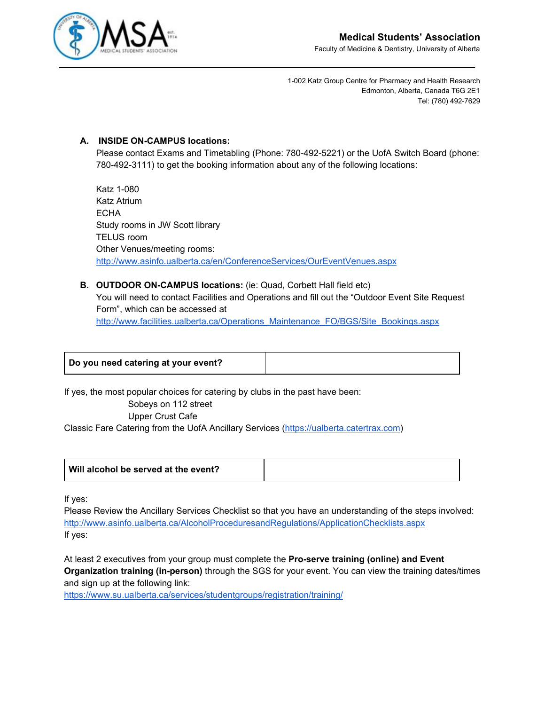

1-002 Katz Group Centre for Pharmacy and Health Research Edmonton, Alberta, Canada T6G 2E1 Tel: (780) 492-7629

## **A. INSIDE ON-CAMPUS locations:**

Please contact Exams and Timetabling (Phone: 780-492-5221) or the UofA Switch Board (phone: 780-492-3111) to get the booking information about any of the following locations:

Katz 1-080 Katz Atrium **ECHA** Study rooms in JW Scott library TELUS room Other Venues/meeting rooms: <http://www.asinfo.ualberta.ca/en/ConferenceServices/OurEventVenues.aspx>

## **B. OUTDOOR ON-CAMPUS locations:** (ie: Quad, Corbett Hall field etc) You will need to contact Facilities and Operations and fill out the "Outdoor Event Site Request Form", which can be accessed at [http://www.facilities.ualberta.ca/Operations\\_Maintenance\\_FO/BGS/Site\\_Bookings.aspx](http://www.facilities.ualberta.ca/Operations_Maintenance_FO/BGS/Site_Bookings.aspx)

| Do you need catering at your event? |
|-------------------------------------|
|-------------------------------------|

If yes, the most popular choices for catering by clubs in the past have been: Sobeys on 112 street Upper Crust Cafe Classic Fare Catering from the UofA Ancillary Services [\(https://ualberta.catertrax.com\)](https://ualberta.catertrax.com/)

| Will alcohol be served at the event? |  |
|--------------------------------------|--|
|--------------------------------------|--|

If yes:

Please Review the Ancillary Services Checklist so that you have an understanding of the steps involved: <http://www.asinfo.ualberta.ca/AlcoholProceduresandRegulations/ApplicationChecklists.aspx> If yes:

At least 2 executives from your group must complete the **Pro-serve training (online) and Event Organization training (in-person)** through the SGS for your event. You can view the training dates/times and sign up at the following link:

<https://www.su.ualberta.ca/services/studentgroups/registration/training/>